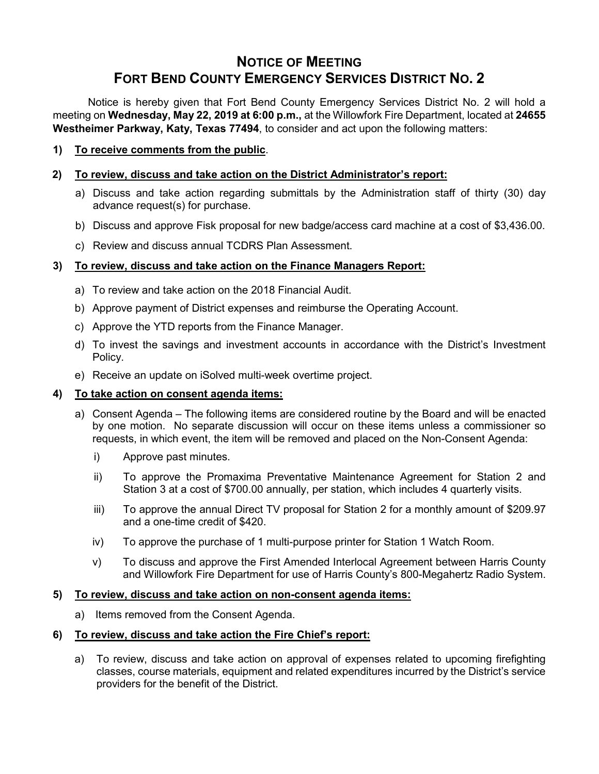# **NOTICE OF MEETING FORT BEND COUNTY EMERGENCY SERVICES DISTRICT NO. 2**

Notice is hereby given that Fort Bend County Emergency Services District No. 2 will hold a meeting on **Wednesday, May 22, 2019 at 6:00 p.m.,** at the Willowfork Fire Department, located at **24655 Westheimer Parkway, Katy, Texas 77494**, to consider and act upon the following matters:

**1) To receive comments from the public**.

# **2) To review, discuss and take action on the District Administrator's report:**

- a) Discuss and take action regarding submittals by the Administration staff of thirty (30) day advance request(s) for purchase.
- b) Discuss and approve Fisk proposal for new badge/access card machine at a cost of \$3,436.00.
- c) Review and discuss annual TCDRS Plan Assessment.

# **3) To review, discuss and take action on the Finance Managers Report:**

- a) To review and take action on the 2018 Financial Audit.
- b) Approve payment of District expenses and reimburse the Operating Account.
- c) Approve the YTD reports from the Finance Manager.
- d) To invest the savings and investment accounts in accordance with the District's Investment Policy.
- e) Receive an update on iSolved multi-week overtime project.

### **4) To take action on consent agenda items:**

- a) Consent Agenda The following items are considered routine by the Board and will be enacted by one motion. No separate discussion will occur on these items unless a commissioner so requests, in which event, the item will be removed and placed on the Non-Consent Agenda:
	- i) Approve past minutes.
	- ii) To approve the Promaxima Preventative Maintenance Agreement for Station 2 and Station 3 at a cost of \$700.00 annually, per station, which includes 4 quarterly visits.
	- iii) To approve the annual Direct TV proposal for Station 2 for a monthly amount of \$209.97 and a one-time credit of \$420.
	- iv) To approve the purchase of 1 multi-purpose printer for Station 1 Watch Room.
	- v) To discuss and approve the First Amended Interlocal Agreement between Harris County and Willowfork Fire Department for use of Harris County's 800-Megahertz Radio System.

### **5) To review, discuss and take action on non-consent agenda items:**

a) Items removed from the Consent Agenda.

### **6) To review, discuss and take action the Fire Chief's report:**

a) To review, discuss and take action on approval of expenses related to upcoming firefighting classes, course materials, equipment and related expenditures incurred by the District's service providers for the benefit of the District.